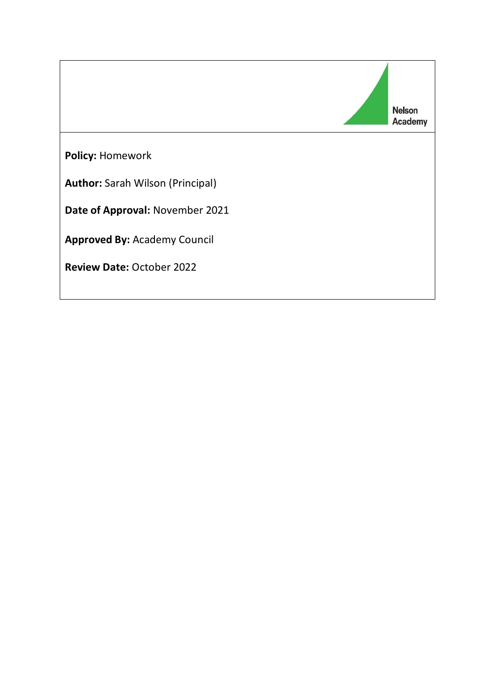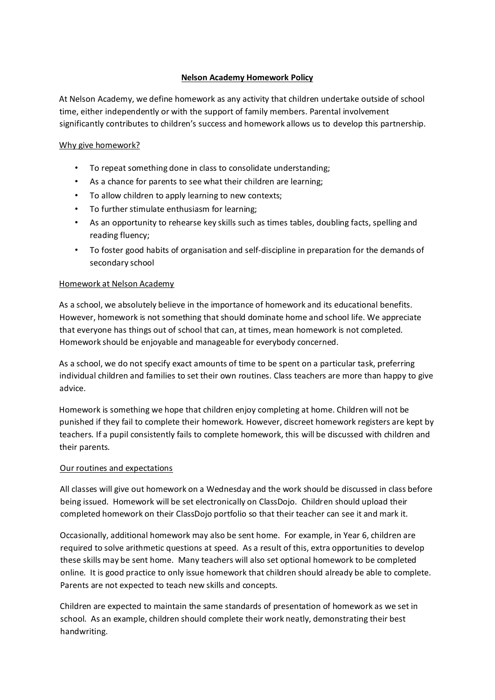# **Nelson Academy Homework Policy**

At Nelson Academy, we define homework as any activity that children undertake outside of school time, either independently or with the support of family members. Parental involvement significantly contributes to children's success and homework allows us to develop this partnership.

### Why give homework?

- To repeat something done in class to consolidate understanding;
- As a chance for parents to see what their children are learning;
- To allow children to apply learning to new contexts;
- To further stimulate enthusiasm for learning;
- As an opportunity to rehearse key skills such as times tables, doubling facts, spelling and reading fluency;
- To foster good habits of organisation and self-discipline in preparation for the demands of secondary school

### Homework at Nelson Academy

As a school, we absolutely believe in the importance of homework and its educational benefits. However, homework is not something that should dominate home and school life. We appreciate that everyone has things out of school that can, at times, mean homework is not completed. Homework should be enjoyable and manageable for everybody concerned.

As a school, we do not specify exact amounts of time to be spent on a particular task, preferring individual children and families to set their own routines. Class teachers are more than happy to give advice.

Homework is something we hope that children enjoy completing at home. Children will not be punished if they fail to complete their homework. However, discreet homework registers are kept by teachers. If a pupil consistently fails to complete homework, this will be discussed with children and their parents.

#### Our routines and expectations

All classes will give out homework on a Wednesday and the work should be discussed in class before being issued. Homework will be set electronically on ClassDojo. Children should upload their completed homework on their ClassDojo portfolio so that their teacher can see it and mark it.

Occasionally, additional homework may also be sent home. For example, in Year 6, children are required to solve arithmetic questions at speed. As a result of this, extra opportunities to develop these skills may be sent home. Many teachers will also set optional homework to be completed online. It is good practice to only issue homework that children should already be able to complete. Parents are not expected to teach new skills and concepts.

Children are expected to maintain the same standards of presentation of homework as we set in school. As an example, children should complete their work neatly, demonstrating their best handwriting.